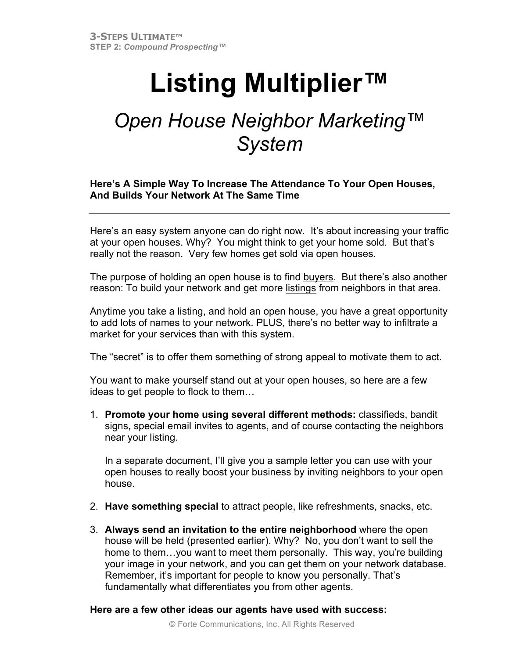## **Listing Multiplier™**

## *Open House Neighbor Marketing™ System*

## **Here's A Simple Way To Increase The Attendance To Your Open Houses, And Builds Your Network At The Same Time**

Here's an easy system anyone can do right now. It's about increasing your traffic at your open houses. Why? You might think to get your home sold. But that's really not the reason. Very few homes get sold via open houses.

The purpose of holding an open house is to find buyers. But there's also another reason: To build your network and get more listings from neighbors in that area.

Anytime you take a listing, and hold an open house, you have a great opportunity to add lots of names to your network. PLUS, there's no better way to infiltrate a market for your services than with this system.

The "secret" is to offer them something of strong appeal to motivate them to act.

You want to make yourself stand out at your open houses, so here are a few ideas to get people to flock to them…

1. **Promote your home using several different methods:** classifieds, bandit signs, special email invites to agents, and of course contacting the neighbors near your listing.

In a separate document, I'll give you a sample letter you can use with your open houses to really boost your business by inviting neighbors to your open house.

- 2. **Have something special** to attract people, like refreshments, snacks, etc.
- 3. **Always send an invitation to the entire neighborhood** where the open house will be held (presented earlier). Why? No, you don't want to sell the home to them…you want to meet them personally. This way, you're building your image in your network, and you can get them on your network database. Remember, it's important for people to know you personally. That's fundamentally what differentiates you from other agents.

## **Here are a few other ideas our agents have used with success:**